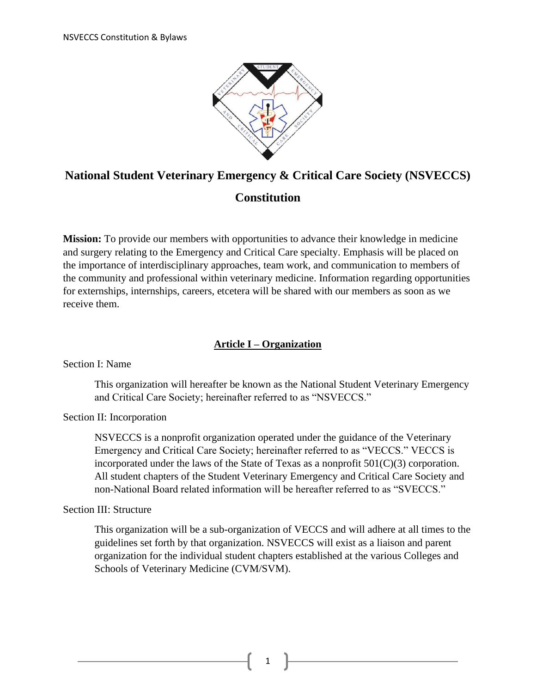

# **National Student Veterinary Emergency & Critical Care Society (NSVECCS)**

## **Constitution**

**Mission:** To provide our members with opportunities to advance their knowledge in medicine and surgery relating to the Emergency and Critical Care specialty. Emphasis will be placed on the importance of interdisciplinary approaches, team work, and communication to members of the community and professional within veterinary medicine. Information regarding opportunities for externships, internships, careers, etcetera will be shared with our members as soon as we receive them.

## **Article I – Organization**

Section I: Name

This organization will hereafter be known as the National Student Veterinary Emergency and Critical Care Society; hereinafter referred to as "NSVECCS."

## Section II: Incorporation

NSVECCS is a nonprofit organization operated under the guidance of the Veterinary Emergency and Critical Care Society; hereinafter referred to as "VECCS." VECCS is incorporated under the laws of the State of Texas as a nonprofit 501(C)(3) corporation. All student chapters of the Student Veterinary Emergency and Critical Care Society and non-National Board related information will be hereafter referred to as "SVECCS."

## Section III: Structure

This organization will be a sub-organization of VECCS and will adhere at all times to the guidelines set forth by that organization. NSVECCS will exist as a liaison and parent organization for the individual student chapters established at the various Colleges and Schools of Veterinary Medicine (CVM/SVM).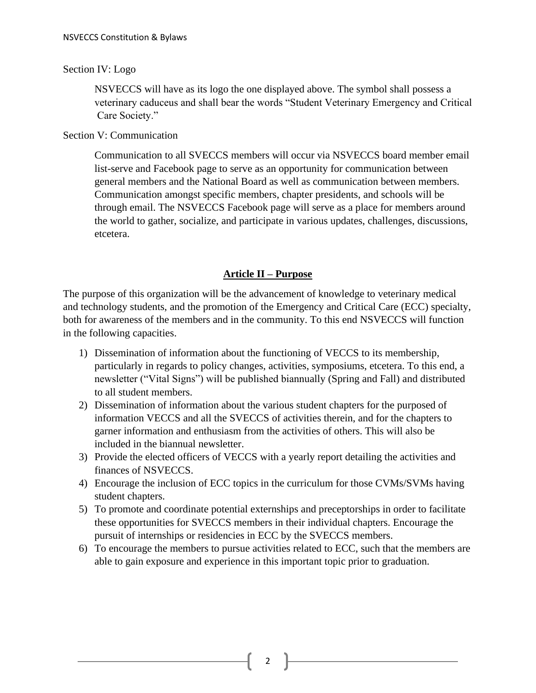## Section IV: Logo

NSVECCS will have as its logo the one displayed above. The symbol shall possess a veterinary caduceus and shall bear the words "Student Veterinary Emergency and Critical Care Society."

## Section V: Communication

Communication to all SVECCS members will occur via NSVECCS board member email list-serve and Facebook page to serve as an opportunity for communication between general members and the National Board as well as communication between members. Communication amongst specific members, chapter presidents, and schools will be through email. The NSVECCS Facebook page will serve as a place for members around the world to gather, socialize, and participate in various updates, challenges, discussions, etcetera.

## **Article II – Purpose**

The purpose of this organization will be the advancement of knowledge to veterinary medical and technology students, and the promotion of the Emergency and Critical Care (ECC) specialty, both for awareness of the members and in the community. To this end NSVECCS will function in the following capacities.

- 1) Dissemination of information about the functioning of VECCS to its membership, particularly in regards to policy changes, activities, symposiums, etcetera. To this end, a newsletter ("Vital Signs") will be published biannually (Spring and Fall) and distributed to all student members.
- 2) Dissemination of information about the various student chapters for the purposed of information VECCS and all the SVECCS of activities therein, and for the chapters to garner information and enthusiasm from the activities of others. This will also be included in the biannual newsletter.
- 3) Provide the elected officers of VECCS with a yearly report detailing the activities and finances of NSVECCS.
- 4) Encourage the inclusion of ECC topics in the curriculum for those CVMs/SVMs having student chapters.
- 5) To promote and coordinate potential externships and preceptorships in order to facilitate these opportunities for SVECCS members in their individual chapters. Encourage the pursuit of internships or residencies in ECC by the SVECCS members.
- 6) To encourage the members to pursue activities related to ECC, such that the members are able to gain exposure and experience in this important topic prior to graduation.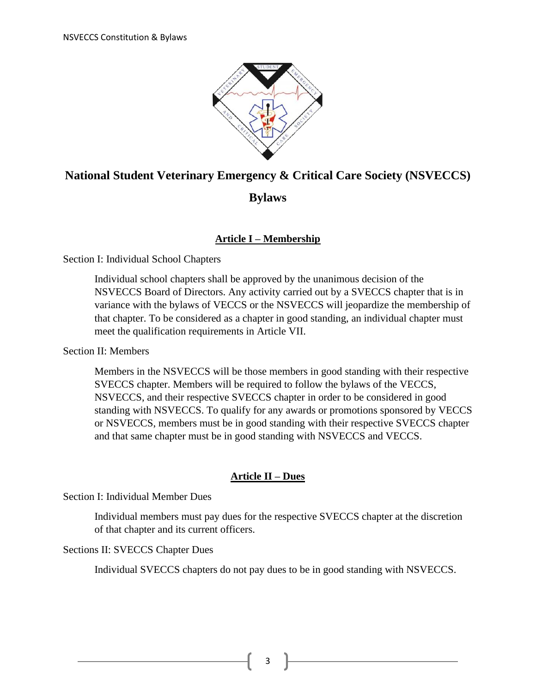

## **National Student Veterinary Emergency & Critical Care Society (NSVECCS)**

## **Bylaws**

## **Article I – Membership**

## Section I: Individual School Chapters

Individual school chapters shall be approved by the unanimous decision of the NSVECCS Board of Directors. Any activity carried out by a SVECCS chapter that is in variance with the bylaws of VECCS or the NSVECCS will jeopardize the membership of that chapter. To be considered as a chapter in good standing, an individual chapter must meet the qualification requirements in Article VII.

Section II: Members

Members in the NSVECCS will be those members in good standing with their respective SVECCS chapter. Members will be required to follow the bylaws of the VECCS, NSVECCS, and their respective SVECCS chapter in order to be considered in good standing with NSVECCS. To qualify for any awards or promotions sponsored by VECCS or NSVECCS, members must be in good standing with their respective SVECCS chapter and that same chapter must be in good standing with NSVECCS and VECCS.

## **Article II – Dues**

Section I: Individual Member Dues

Individual members must pay dues for the respective SVECCS chapter at the discretion of that chapter and its current officers.

## Sections II: SVECCS Chapter Dues

Individual SVECCS chapters do not pay dues to be in good standing with NSVECCS.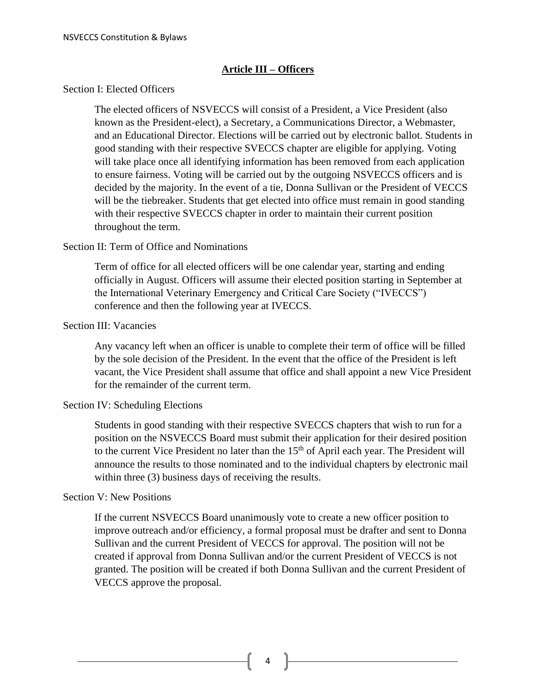## **Article III – Officers**

#### Section I: Elected Officers

The elected officers of NSVECCS will consist of a President, a Vice President (also known as the President-elect), a Secretary, a Communications Director, a Webmaster, and an Educational Director. Elections will be carried out by electronic ballot. Students in good standing with their respective SVECCS chapter are eligible for applying. Voting will take place once all identifying information has been removed from each application to ensure fairness. Voting will be carried out by the outgoing NSVECCS officers and is decided by the majority. In the event of a tie, Donna Sullivan or the President of VECCS will be the tiebreaker. Students that get elected into office must remain in good standing with their respective SVECCS chapter in order to maintain their current position throughout the term.

#### Section II: Term of Office and Nominations

Term of office for all elected officers will be one calendar year, starting and ending officially in August. Officers will assume their elected position starting in September at the International Veterinary Emergency and Critical Care Society ("IVECCS") conference and then the following year at IVECCS.

## Section III: Vacancies

Any vacancy left when an officer is unable to complete their term of office will be filled by the sole decision of the President. In the event that the office of the President is left vacant, the Vice President shall assume that office and shall appoint a new Vice President for the remainder of the current term.

#### Section IV: Scheduling Elections

Students in good standing with their respective SVECCS chapters that wish to run for a position on the NSVECCS Board must submit their application for their desired position to the current Vice President no later than the 15<sup>th</sup> of April each year. The President will announce the results to those nominated and to the individual chapters by electronic mail within three (3) business days of receiving the results.

#### Section V: New Positions

If the current NSVECCS Board unanimously vote to create a new officer position to improve outreach and/or efficiency, a formal proposal must be drafter and sent to Donna Sullivan and the current President of VECCS for approval. The position will not be created if approval from Donna Sullivan and/or the current President of VECCS is not granted. The position will be created if both Donna Sullivan and the current President of VECCS approve the proposal.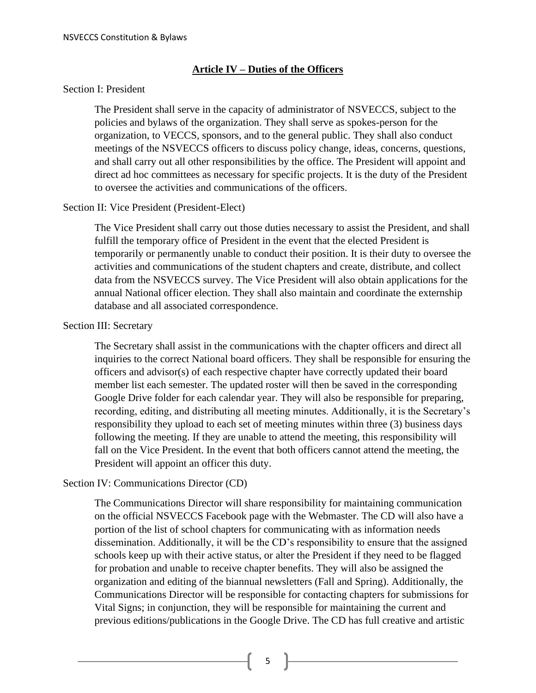#### **Article IV – Duties of the Officers**

#### Section I: President

The President shall serve in the capacity of administrator of NSVECCS, subject to the policies and bylaws of the organization. They shall serve as spokes-person for the organization, to VECCS, sponsors, and to the general public. They shall also conduct meetings of the NSVECCS officers to discuss policy change, ideas, concerns, questions, and shall carry out all other responsibilities by the office. The President will appoint and direct ad hoc committees as necessary for specific projects. It is the duty of the President to oversee the activities and communications of the officers.

#### Section II: Vice President (President-Elect)

The Vice President shall carry out those duties necessary to assist the President, and shall fulfill the temporary office of President in the event that the elected President is temporarily or permanently unable to conduct their position. It is their duty to oversee the activities and communications of the student chapters and create, distribute, and collect data from the NSVECCS survey. The Vice President will also obtain applications for the annual National officer election. They shall also maintain and coordinate the externship database and all associated correspondence.

#### Section III: Secretary

The Secretary shall assist in the communications with the chapter officers and direct all inquiries to the correct National board officers. They shall be responsible for ensuring the officers and advisor(s) of each respective chapter have correctly updated their board member list each semester. The updated roster will then be saved in the corresponding Google Drive folder for each calendar year. They will also be responsible for preparing, recording, editing, and distributing all meeting minutes. Additionally, it is the Secretary's responsibility they upload to each set of meeting minutes within three (3) business days following the meeting. If they are unable to attend the meeting, this responsibility will fall on the Vice President. In the event that both officers cannot attend the meeting, the President will appoint an officer this duty.

#### Section IV: Communications Director (CD)

The Communications Director will share responsibility for maintaining communication on the official NSVECCS Facebook page with the Webmaster. The CD will also have a portion of the list of school chapters for communicating with as information needs dissemination. Additionally, it will be the CD's responsibility to ensure that the assigned schools keep up with their active status, or alter the President if they need to be flagged for probation and unable to receive chapter benefits. They will also be assigned the organization and editing of the biannual newsletters (Fall and Spring). Additionally, the Communications Director will be responsible for contacting chapters for submissions for Vital Signs; in conjunction, they will be responsible for maintaining the current and previous editions/publications in the Google Drive. The CD has full creative and artistic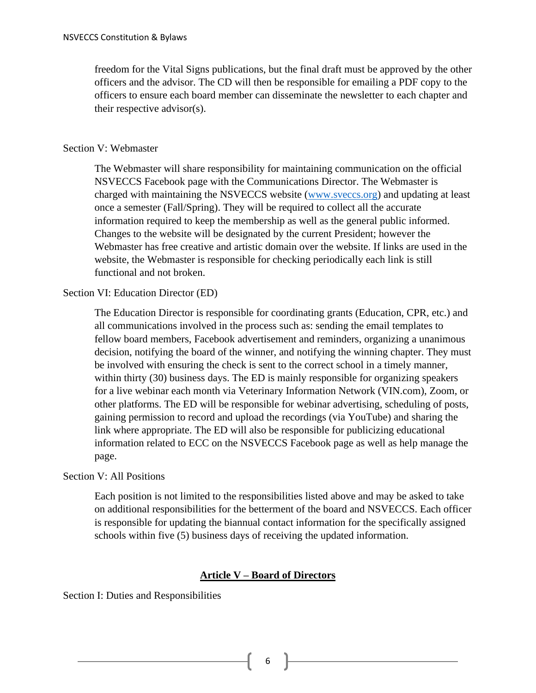freedom for the Vital Signs publications, but the final draft must be approved by the other officers and the advisor. The CD will then be responsible for emailing a PDF copy to the officers to ensure each board member can disseminate the newsletter to each chapter and their respective advisor(s).

## Section V: Webmaster

The Webmaster will share responsibility for maintaining communication on the official NSVECCS Facebook page with the Communications Director. The Webmaster is charged with maintaining the NSVECCS website [\(www.sveccs.org\)](http://www.sveccs.org/) and updating at least once a semester (Fall/Spring). They will be required to collect all the accurate information required to keep the membership as well as the general public informed. Changes to the website will be designated by the current President; however the Webmaster has free creative and artistic domain over the website. If links are used in the website, the Webmaster is responsible for checking periodically each link is still functional and not broken.

## Section VI: Education Director (ED)

The Education Director is responsible for coordinating grants (Education, CPR, etc.) and all communications involved in the process such as: sending the email templates to fellow board members, Facebook advertisement and reminders, organizing a unanimous decision, notifying the board of the winner, and notifying the winning chapter. They must be involved with ensuring the check is sent to the correct school in a timely manner, within thirty (30) business days. The ED is mainly responsible for organizing speakers for a live webinar each month via Veterinary Information Network (VIN.com), Zoom, or other platforms. The ED will be responsible for webinar advertising, scheduling of posts, gaining permission to record and upload the recordings (via YouTube) and sharing the link where appropriate. The ED will also be responsible for publicizing educational information related to ECC on the NSVECCS Facebook page as well as help manage the page.

## Section V: All Positions

Each position is not limited to the responsibilities listed above and may be asked to take on additional responsibilities for the betterment of the board and NSVECCS. Each officer is responsible for updating the biannual contact information for the specifically assigned schools within five (5) business days of receiving the updated information.

## **Article V – Board of Directors**

Section I: Duties and Responsibilities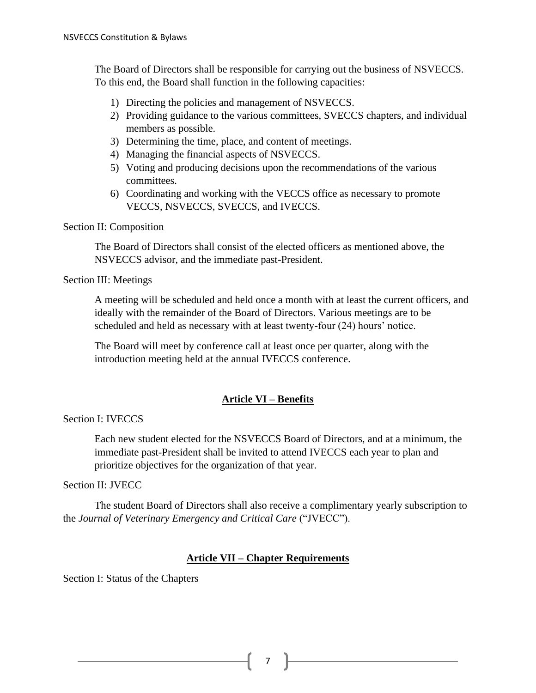The Board of Directors shall be responsible for carrying out the business of NSVECCS. To this end, the Board shall function in the following capacities:

- 1) Directing the policies and management of NSVECCS.
- 2) Providing guidance to the various committees, SVECCS chapters, and individual members as possible.
- 3) Determining the time, place, and content of meetings.
- 4) Managing the financial aspects of NSVECCS.
- 5) Voting and producing decisions upon the recommendations of the various committees.
- 6) Coordinating and working with the VECCS office as necessary to promote VECCS, NSVECCS, SVECCS, and IVECCS.

## Section II: Composition

The Board of Directors shall consist of the elected officers as mentioned above, the NSVECCS advisor, and the immediate past-President.

#### Section III: Meetings

A meeting will be scheduled and held once a month with at least the current officers, and ideally with the remainder of the Board of Directors. Various meetings are to be scheduled and held as necessary with at least twenty-four (24) hours' notice.

The Board will meet by conference call at least once per quarter, along with the introduction meeting held at the annual IVECCS conference.

## **Article VI – Benefits**

Section I: IVECCS

Each new student elected for the NSVECCS Board of Directors, and at a minimum, the immediate past-President shall be invited to attend IVECCS each year to plan and prioritize objectives for the organization of that year.

## Section II: JVECC

The student Board of Directors shall also receive a complimentary yearly subscription to the *Journal of Veterinary Emergency and Critical Care* ("JVECC").

## **Article VII – Chapter Requirements**

Section I: Status of the Chapters

7 **F**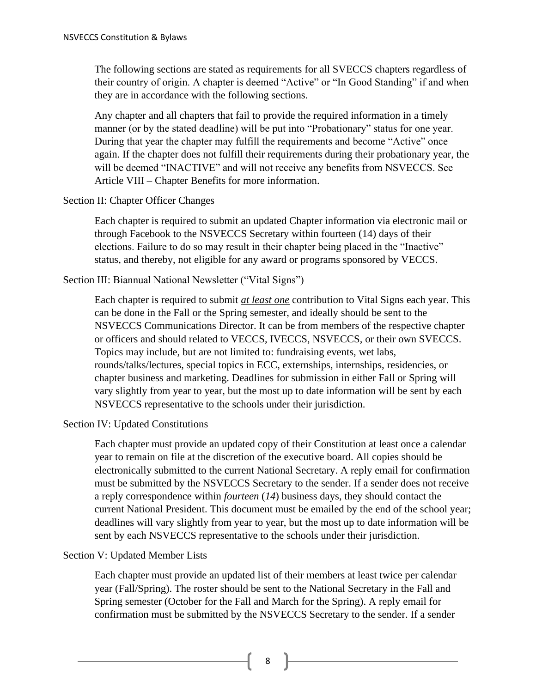The following sections are stated as requirements for all SVECCS chapters regardless of their country of origin. A chapter is deemed "Active" or "In Good Standing" if and when they are in accordance with the following sections.

Any chapter and all chapters that fail to provide the required information in a timely manner (or by the stated deadline) will be put into "Probationary" status for one year. During that year the chapter may fulfill the requirements and become "Active" once again. If the chapter does not fulfill their requirements during their probationary year, the will be deemed "INACTIVE" and will not receive any benefits from NSVECCS. See Article VIII – Chapter Benefits for more information.

## Section II: Chapter Officer Changes

Each chapter is required to submit an updated Chapter information via electronic mail or through Facebook to the NSVECCS Secretary within fourteen (14) days of their elections. Failure to do so may result in their chapter being placed in the "Inactive" status, and thereby, not eligible for any award or programs sponsored by VECCS.

## Section III: Biannual National Newsletter ("Vital Signs")

Each chapter is required to submit *at least one* contribution to Vital Signs each year. This can be done in the Fall or the Spring semester, and ideally should be sent to the NSVECCS Communications Director. It can be from members of the respective chapter or officers and should related to VECCS, IVECCS, NSVECCS, or their own SVECCS. Topics may include, but are not limited to: fundraising events, wet labs, rounds/talks/lectures, special topics in ECC, externships, internships, residencies, or chapter business and marketing. Deadlines for submission in either Fall or Spring will vary slightly from year to year, but the most up to date information will be sent by each NSVECCS representative to the schools under their jurisdiction.

## Section IV: Updated Constitutions

Each chapter must provide an updated copy of their Constitution at least once a calendar year to remain on file at the discretion of the executive board. All copies should be electronically submitted to the current National Secretary. A reply email for confirmation must be submitted by the NSVECCS Secretary to the sender. If a sender does not receive a reply correspondence within *fourteen* (*14*) business days, they should contact the current National President. This document must be emailed by the end of the school year; deadlines will vary slightly from year to year, but the most up to date information will be sent by each NSVECCS representative to the schools under their jurisdiction.

## Section V: Updated Member Lists

Each chapter must provide an updated list of their members at least twice per calendar year (Fall/Spring). The roster should be sent to the National Secretary in the Fall and Spring semester (October for the Fall and March for the Spring). A reply email for confirmation must be submitted by the NSVECCS Secretary to the sender. If a sender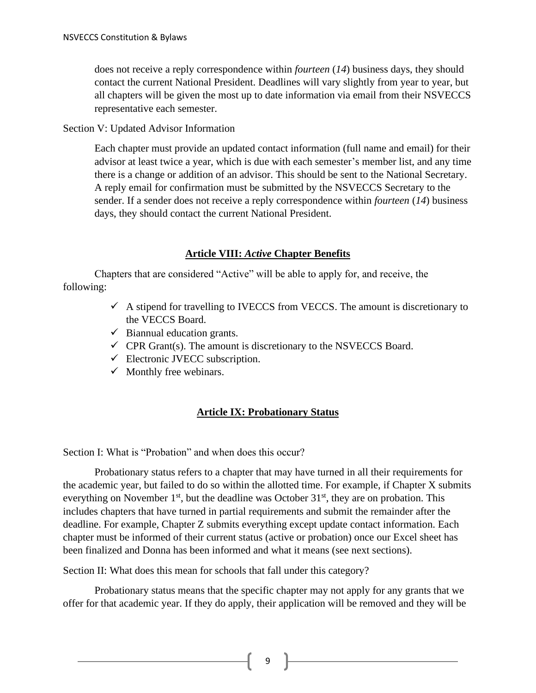does not receive a reply correspondence within *fourteen* (*14*) business days, they should contact the current National President. Deadlines will vary slightly from year to year, but all chapters will be given the most up to date information via email from their NSVECCS representative each semester.

Section V: Updated Advisor Information

Each chapter must provide an updated contact information (full name and email) for their advisor at least twice a year, which is due with each semester's member list, and any time there is a change or addition of an advisor. This should be sent to the National Secretary. A reply email for confirmation must be submitted by the NSVECCS Secretary to the sender. If a sender does not receive a reply correspondence within *fourteen* (*14*) business days, they should contact the current National President.

## **Article VIII:** *Active* **Chapter Benefits**

Chapters that are considered "Active" will be able to apply for, and receive, the following:

- $\checkmark$  A stipend for travelling to IVECCS from VECCS. The amount is discretionary to the VECCS Board.
- $\checkmark$  Biannual education grants.
- $\checkmark$  CPR Grant(s). The amount is discretionary to the NSVECCS Board.
- $\checkmark$  Electronic JVECC subscription.
- $\checkmark$  Monthly free webinars.

## **Article IX: Probationary Status**

Section I: What is "Probation" and when does this occur?

Probationary status refers to a chapter that may have turned in all their requirements for the academic year, but failed to do so within the allotted time. For example, if Chapter X submits everything on November  $1<sup>st</sup>$ , but the deadline was October  $31<sup>st</sup>$ , they are on probation. This includes chapters that have turned in partial requirements and submit the remainder after the deadline. For example, Chapter Z submits everything except update contact information. Each chapter must be informed of their current status (active or probation) once our Excel sheet has been finalized and Donna has been informed and what it means (see next sections).

Section II: What does this mean for schools that fall under this category?

Probationary status means that the specific chapter may not apply for any grants that we offer for that academic year. If they do apply, their application will be removed and they will be

9 ]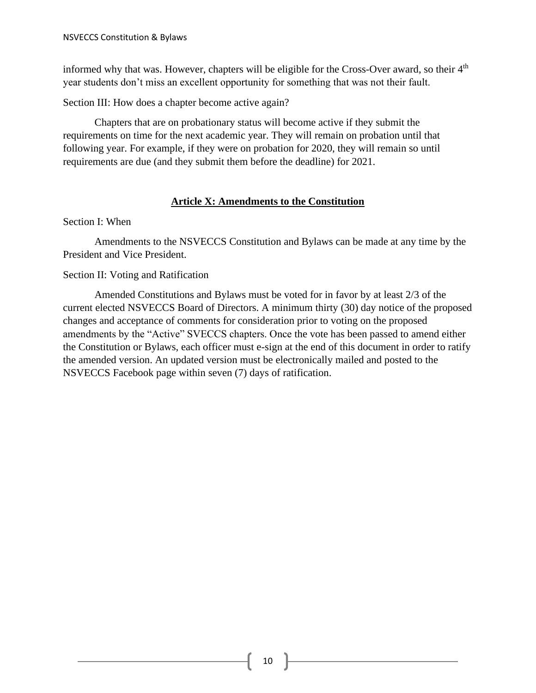informed why that was. However, chapters will be eligible for the Cross-Over award, so their 4<sup>th</sup> year students don't miss an excellent opportunity for something that was not their fault.

Section III: How does a chapter become active again?

Chapters that are on probationary status will become active if they submit the requirements on time for the next academic year. They will remain on probation until that following year. For example, if they were on probation for 2020, they will remain so until requirements are due (and they submit them before the deadline) for 2021.

## **Article X: Amendments to the Constitution**

## Section I: When

Amendments to the NSVECCS Constitution and Bylaws can be made at any time by the President and Vice President.

## Section II: Voting and Ratification

Amended Constitutions and Bylaws must be voted for in favor by at least 2/3 of the current elected NSVECCS Board of Directors. A minimum thirty (30) day notice of the proposed changes and acceptance of comments for consideration prior to voting on the proposed amendments by the "Active" SVECCS chapters. Once the vote has been passed to amend either the Constitution or Bylaws, each officer must e-sign at the end of this document in order to ratify the amended version. An updated version must be electronically mailed and posted to the NSVECCS Facebook page within seven (7) days of ratification.